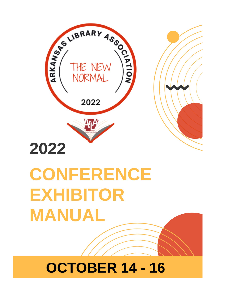

# **CONFERENCE EXHIBITOR MANUAL**

## **OCTOBER 14 - 16**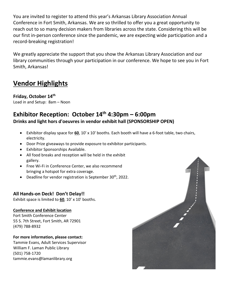You are invited to register to attend this year's Arkansas Library Association Annual Conference in Fort Smith, Arkansas. We are so thrilled to offer you a great opportunity to reach out to so many decision makers from libraries across the state. Considering this will be our first in-person conference since the pandemic, we are expecting wide participation and a record-breaking registration!

We greatly appreciate the support that you show the Arkansas Library Association and our library communities through your participation in our conference. We hope to see you in Fort Smith, Arkansas!

## **Vendor Highlights**

## **Friday, October 14th**

Load in and Setup: 8am – Noon

## **Exhibitor Reception: October 14th 4:30pm – 6:00pm Drinks and light hors d'oeuvres in vendor exhibit hall (SPONSORSHIP OPEN)**

- Exhibitor display space for **60**, 10' x 10' booths. Each booth will have a 6-foot table, two chairs, electricity.
- Door Prize giveaways to provide exposure to exhibitor participants.
- Exhibitor Sponsorships Available.
- All food breaks and reception will be held in the exhibit gallery.
- Free Wi-Fi in Conference Center, we also recommend bringing a hotspot for extra coverage.
- Deadline for vendor registration is September  $30<sup>th</sup>$ , 2022.

#### **All Hands-on Deck! Don't Delay!!**

Exhibit space is limited to **60**, 10' x 10' booths.

#### **Conference and Exhibit location**

Fort Smith Conference Center 55 S. 7th Street, Fort Smith, AR 72901 (479) 788-8932

#### **For more information, please contact:**

Tammie Evans, Adult Services Supervisor William F. Laman Public Library (501) 758-1720 tammie.evans@lamanlibrary.org

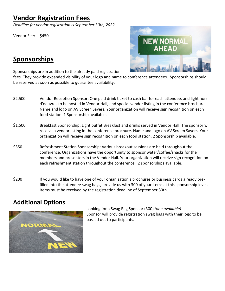## **Vendor Registration Fees**

*Deadline for vendor registration is September 30th, 2022* 

Vendor Fee: \$450



## **Sponsorships**

Sponsorships are in addition to the already paid registration

fees. They provide expanded visibility of your logo and name to conference attendees. Sponsorships should be reserved as soon as possible to guarantee availability.

- \$2,500 Vendor Reception Sponsor: One paid drink ticket to cash bar for each attendee, and light hors d'oeuvres to be hosted in Vendor Hall, and special vendor listing in the conference brochure. Name and logo on AV Screen Savers. Your organization will receive sign recognition on each food station. 1 Sponsorship available.
- \$1,500 Breakfast Sponsorship: Light buffet Breakfast and drinks served in Vendor Hall. The sponsor will receive a vendor listing in the conference brochure. Name and logo on AV Screen Savers. Your organization will receive sign recognition on each food station. 2 Sponsorship available.
- \$350 Refreshment Station Sponsorship: Various breakout sessions are held throughout the conference. Organizations have the opportunity to sponsor water/coffee/snacks for the members and presenters in the Vendor Hall. Your organization will receive sign recognition on each refreshment station throughout the conference. 2 sponsorships available.
- \$200 If you would like to have one of your organization's brochures or business cards already prefilled into the attendee swag bags, provide us with 300 of your items at this sponsorship level. Items must be received by the registration deadline of September 30th.

## **Additional Options**



Looking for a Swag Bag Sponsor (300) *(one available)* Sponsor will provide registration swag bags with their logo to be passed out to participants.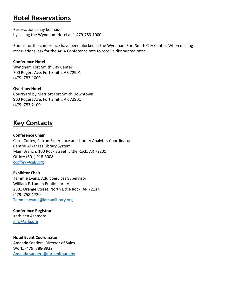## **Hotel Reservations**

Reservations may be made by calling the Wyndham Hotel at 1-479-783-1000.

Rooms for the conference have been blocked at the Wyndham Fort Smith City Center. When making reservations, ask for the ArLA Conference rate to receive discounted rates.

#### **Conference Hotel**

Wyndham Fort Smith City Center 700 Rogers Ave, Fort Smith, AR 72901 (479) 783-1000

#### **Overflow Hotel**

Courtyard by Marriott Fort Smith Downtown 900 Rogers Ave, Fort Smith, AR 72901 (479) 783-2100

## **Key Contacts**

**Conference Chair** Carol Coffey, Patron Experience and Library Analytics Coordinator Central Arkansas Library System Main Branch: 100 Rock Street, Little Rock, AR 72201 Office: (501) 918-3008 [ccoffey@cals.org](mailto:ccoffey@cals.org)

**Exhibitor Chair** Tammie Evans, Adult Services Supervisor William F. Laman Public Library 2801 Orange Street, North Little Rock, AR 72114 (479) 758-1720 [Tammie.evans@lamanlibrary.org](mailto:Tammie.evans@lamanlibrary.org)

**Conference Registrar** Kathleen Ashmore [info@arla.org](mailto:info@arla.org)

**Hotel Event Coordinator** Amanda Sanders, Director of Sales Work: (479) 788-8932 [Amanda.sanders@fortsmithar.gov](mailto:Amanda.sanders@fortsmithar.gov)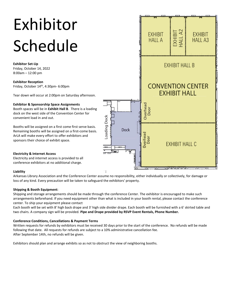# Exhibitor Schedule

**Exhibitor Set-Up**  Friday, October 14, 2022 8:00am – 12:00 pm

**Exhibitor Reception**  Friday, October 14th, 4:30pm- 6:00pm

Tear down will occur at 2:00pm on Saturday afternoon.

#### **Exhibitor & Sponsorship Space Assignments**

Booth spaces will be in **Exhibit Hall B**. There is a loading dock on the west side of the Convention Center for convenient load in and out.

Booths will be assigned on a first come first serve basis. Remaining booths will be assigned on a first-come basis. ArLA will make every effort to offer exhibitors and sponsors their choice of exhibit space.

#### **Electricity & Internet Access**

Electricity and internet access is provided to all conference exhibitors at no additional charge.

#### **Liability**

Arkansas Library Association and the Conference Center assume no responsibility, either individually or collectively, for damage or loss of any kind. Every precaution will be taken to safeguard the exhibitors' property.

#### **Shipping & Booth Equipment**:

Shipping and storage arrangements should be made through the conference Center. The exhibitor is encouraged to make such arrangements beforehand. If you need equipment other than what is included in your booth rental, please contact the conference center. To ship your equipment please contact

Each booth will be set with 8' high back drape and 3' high side divider drape. Each booth will be furnished with a 6' skirted table and two chairs. A company sign will be provided. **Pipe and Drape provided by RSVP Event Rentals, Phone Number.**

#### **Conference Conditions, Cancellations & Payment Terms**

Written requests for refunds by exhibitors must be received 30 days prior to the start of the conference. No refunds will be made following that date. All requests for refunds are subject to a 10% administrative cancellation fee. After September 14th, no refunds will be given.

Exhibitors should plan and arrange exhibits so as not to obstruct the view of neighboring booths.

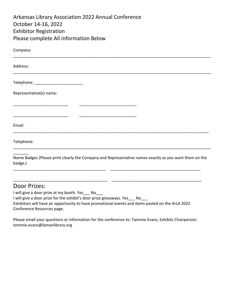| <b>Arkansas Library Association 2022 Annual Conference</b> |
|------------------------------------------------------------|
| October 14-16, 2022                                        |
| <b>Exhibitor Registration</b>                              |
| Please complete All information Below                      |

| Company:                                |                                                                                                        |  |
|-----------------------------------------|--------------------------------------------------------------------------------------------------------|--|
| Address:                                |                                                                                                        |  |
| Telephone: ____________________________ |                                                                                                        |  |
| Representative(s) name:                 |                                                                                                        |  |
|                                         |                                                                                                        |  |
| Email:                                  |                                                                                                        |  |
| Telephone:                              |                                                                                                        |  |
|                                         | Name Badges (Please print clearly the Company and Representative names exactly as you want them on the |  |

badge.)

#### Door Prizes:

I will give a door prize at my booth. Yes \_\_\_ No\_\_\_ I will give a door prize for the exhibit's door prize giveaways. Yes No Exhibitors will have an opportunity to have promotional events and items posted on the ArLA 2022 Conference Resources page.

\_\_\_\_\_\_\_\_\_\_\_\_\_\_\_\_\_\_\_\_\_\_\_\_\_\_\_\_\_\_\_\_\_\_\_\_\_\_\_\_\_\_ \_\_\_\_\_\_\_\_\_\_\_\_\_\_\_\_\_\_\_\_\_\_\_\_\_\_\_\_\_\_\_\_\_\_\_\_\_\_\_\_\_

\_\_\_\_\_\_\_\_\_\_\_\_\_\_\_\_\_\_\_\_\_\_\_\_\_\_\_\_\_\_\_\_\_\_\_\_\_\_\_\_\_\_\_ \_\_\_\_\_\_\_\_\_\_\_\_\_\_\_\_\_\_\_\_\_\_\_\_\_\_\_\_\_\_\_\_\_\_\_\_\_\_\_\_\_

Please email your questions or information for the conference to: Tammie Evans, Exhibits Chairperson: tammie.evans@lamanlibrary.org